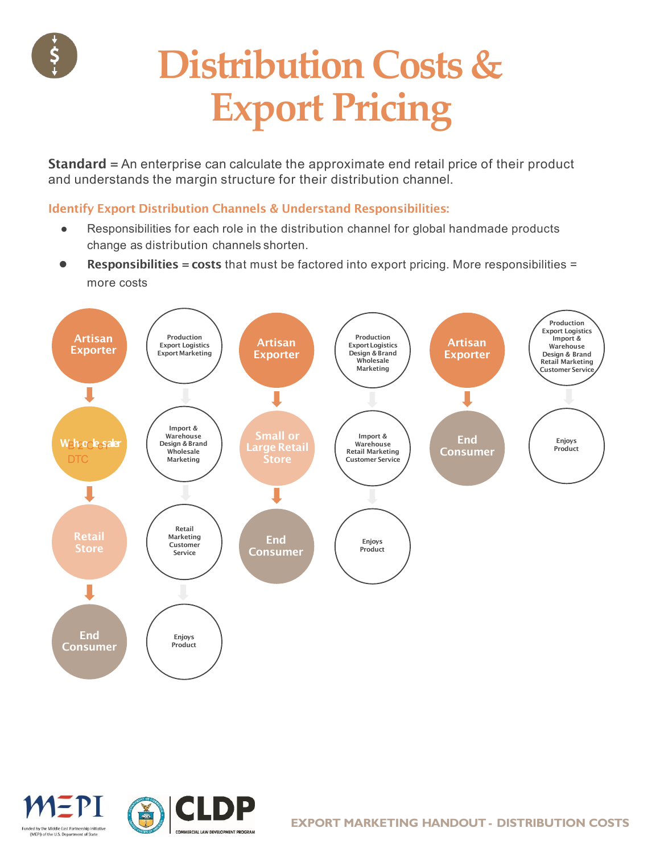

## **Distribution Costs & Export Pricing**

Standard = An enterprise can calculate the approximate end retail price of their product and understands the margin structure for their distribution channel.

#### Identify Export Distribution Channels & Understand Responsibilities:

- Responsibilities for each role in the distribution channel for global handmade products change as distribution channels shorten.
- Responsibilities = costs that must be factored into export pricing. More responsibilities = more costs



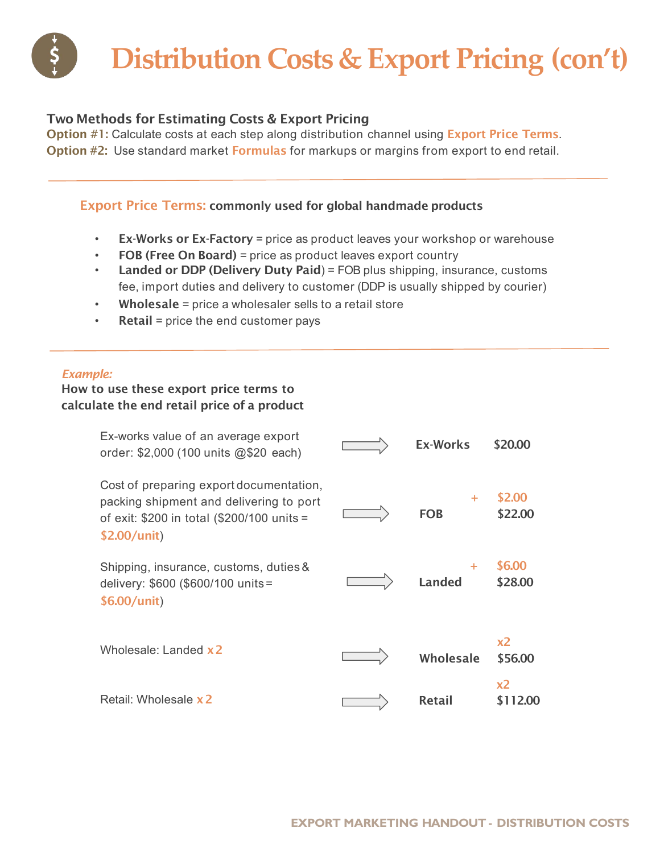### **Distribution Costs & Export Pricing (con't)**

#### Two Methods for Estimating Costs & Export Pricing

Option #1: Calculate costs at each step along distribution channel using Export Price Terms. Option #2: Use standard market Formulas for markups or margins from export to end retail.

#### Export Price Terms: commonly used for global handmade products

- Ex-Works or Ex-Factory = price as product leaves your workshop or warehouse
- FOB (Free On Board) = price as product leaves export country
- Landed or DDP (Delivery Duty Paid) = FOB plus shipping, insurance, customs fee, import duties and delivery to customer (DDP is usually shipped by courier)
- Wholesale = price a wholesaler sells to a retail store
- Retail = price the end customer pays

#### *Example:*

#### How to use these export price terms to calculate the end retail price of a product

| Ex-works value of an average export<br>order: \$2,000 (100 units @\$20 each)                                                                     | <b>Ex-Works</b>    | \$20.00           |
|--------------------------------------------------------------------------------------------------------------------------------------------------|--------------------|-------------------|
| Cost of preparing export documentation,<br>packing shipment and delivering to port<br>of exit: \$200 in total (\$200/100 units =<br>\$2.00/unit) | ÷<br><b>FOB</b>    | \$2.00<br>\$22.00 |
| Shipping, insurance, customs, duties &<br>delivery: \$600 (\$600/100 units =<br>\$6.00/unit)                                                     | ÷<br><b>Landed</b> | \$6.00<br>\$28.00 |
| Wholesale: Landed x 2                                                                                                                            | Wholesale          | x2<br>\$56.00     |
| Retail: Wholesale x 2                                                                                                                            | Retail             | x2<br>\$112.00    |